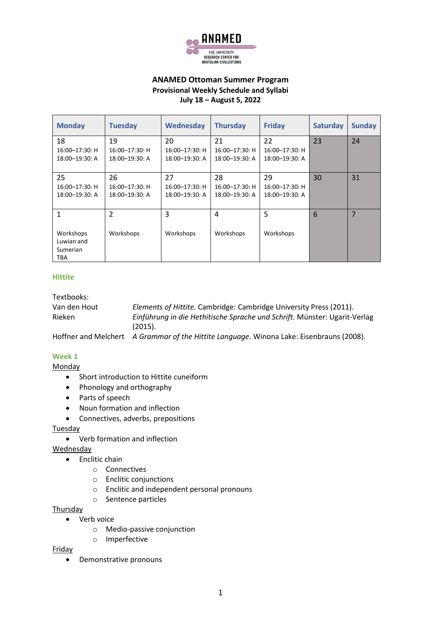

## **ANAMED Ottoman Summer Program Provisional Weekly Schedule and Syllabi July 18 – August 5, 2022**

| <b>Monday</b>                                                     | <b>Tuesday</b>                         | Wednesday                              | <b>Thursday</b>                             | <b>Friday</b>                               | <b>Saturday</b> | <b>Sunday</b>  |
|-------------------------------------------------------------------|----------------------------------------|----------------------------------------|---------------------------------------------|---------------------------------------------|-----------------|----------------|
| 18<br>$16:00 - 17:30$ : H<br>18:00-19:30: A                       | 19<br>16:00-17:30: H<br>18:00-19:30: A | 20<br>16:00-17:30: H<br>18:00-19:30: A | 21<br>$16:00 - 17:30$ : H<br>18:00-19:30: A | 22<br>$16:00 - 17:30$ : H<br>18:00-19:30: A | 23              | 24             |
| 25<br>16:00-17:30: H<br>18:00-19:30: A                            | 26<br>16:00-17:30: H<br>18:00-19:30: A | 27<br>16:00-17:30: H<br>18:00-19:30: A | 28<br>$16:00 - 17:30$ : H<br>18:00-19:30: A | 29<br>16:00-17:30: H<br>18:00-19:30: A      | 30              | 31             |
| $\mathbf{1}$<br>Workshops<br>Luwian and<br>Sumerian<br><b>TBA</b> | $\overline{\phantom{a}}$<br>Workshops  | 3<br>Workshops                         | 4<br>Workshops                              | 5<br>Workshops                              | 6               | $\overline{7}$ |

#### **Hittite**

Textbooks:

| Van den Hout | Elements of Hittite. Cambridge: Cambridge University Press (2011).                       |
|--------------|------------------------------------------------------------------------------------------|
| Rieken       | Einführung in die Hethitische Sprache und Schrift. Münster: Ugarit-Verlag                |
|              | (2015).                                                                                  |
|              | Hoffner and Melchert A Grammar of the Hittite Language. Winona Lake: Eisenbrauns (2008). |

**Week 1**

**Monday** 

- Short introduction to Hittite cuneiform
- Phonology and orthography
- Parts of speech
- Noun formation and inflection
- Connectives, adverbs, prepositions

## **Tuesday**

• Verb formation and inflection

Wednesday

- Enclitic chain
	- o Connectives
	- o Enclitic conjunctions
	- o Enclitic and independent personal pronouns
	- o Sentence particles

Thursday

- Verb voice
	- o Medio-passive conjunction
	- o Imperfective

Friday

• Demonstrative pronouns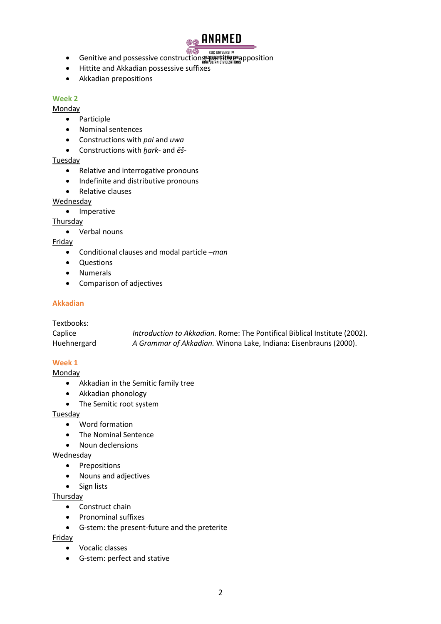

- 66 • Genitive and possessive construction $\frac{\text{``C}}{\text{``C}}$  inversity  $\text{``C}}$  . Genitive and possessive constructions,  $\text{``C}}$
- Hittite and Akkadian possessive suffixes
- Akkadian prepositions

#### **Week 2**

Monday

- Participle
- Nominal sentences
- Constructions with *pai* and *uwa*
- Constructions with *ḫark* and *ēš*-

## Tuesday

- Relative and interrogative pronouns
- Indefinite and distributive pronouns
- Relative clauses

## **Wednesday**

• Imperative

## **Thursday**

• Verbal nouns

# Friday

- Conditional clauses and modal particle –*man*
- Questions
- Numerals
- Comparison of adjectives

## **Akkadian**

| Textbooks:  |                                                                           |
|-------------|---------------------------------------------------------------------------|
| Caplice     | Introduction to Akkadian. Rome: The Pontifical Biblical Institute (2002). |
| Huehnergard | A Grammar of Akkadian. Winona Lake, Indiana: Eisenbrauns (2000).          |

## **Week 1**

**Monday** 

- Akkadian in the Semitic family tree
- Akkadian phonology
- The Semitic root system

## **Tuesday**

- Word formation
- The Nominal Sentence
- Noun declensions

## **Wednesday**

- Prepositions
- Nouns and adjectives
- Sign lists

## **Thursday**

- Construct chain
- Pronominal suffixes
- G-stem: the present-future and the preterite

## Friday

- Vocalic classes
- G-stem: perfect and stative